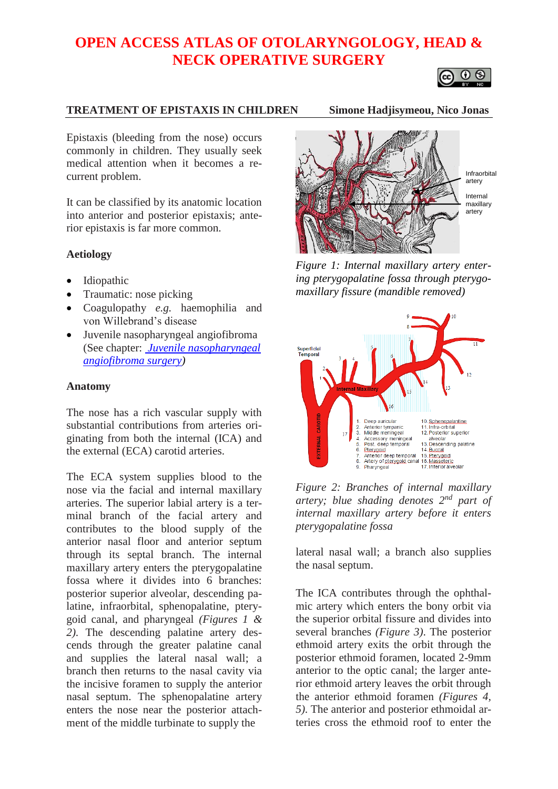# **OPEN ACCESS ATLAS OF OTOLARYNGOLOGY, HEAD & NECK OPERATIVE SURGERY**



## **TREATMENT OF EPISTAXIS IN CHILDREN Simone Hadjisymeou, Nico Jonas**

Epistaxis (bleeding from the nose) occurs commonly in children. They usually seek medical attention when it becomes a recurrent problem.

It can be classified by its anatomic location into anterior and posterior epistaxis; anterior epistaxis is far more common.

#### **Aetiology**

- Idiopathic
- Traumatic: nose picking
- Coagulopathy *e.g.* haemophilia and von Willebrand's disease
- Juvenile nasopharyngeal angiofibroma (See chapter: *[Juvenile nasopharyngeal](https://vula.uct.ac.za/access/content/group/ba5fb1bd-be95-48e5-81be-586fbaeba29d/Juvenile%20nasopharyngeal%20angiofibroma%20surgery.pdf)  [angiofibroma surgery\)](https://vula.uct.ac.za/access/content/group/ba5fb1bd-be95-48e5-81be-586fbaeba29d/Juvenile%20nasopharyngeal%20angiofibroma%20surgery.pdf)*

#### **Anatomy**

The nose has a rich vascular supply with substantial contributions from arteries originating from both the internal (ICA) and the external (ECA) carotid arteries.

The ECA system supplies blood to the nose via the facial and internal maxillary arteries. The superior labial artery is a terminal branch of the facial artery and contributes to the blood supply of the anterior nasal floor and anterior septum through its septal branch. The internal maxillary artery enters the pterygopalatine fossa where it divides into 6 branches: posterior superior alveolar, descending palatine, infraorbital, sphenopalatine, pterygoid canal, and pharyngeal *(Figures 1 & 2)*. The descending palatine artery descends through the greater palatine canal and supplies the lateral nasal wall; a branch then returns to the nasal cavity via the incisive foramen to supply the anterior nasal septum. The sphenopalatine artery enters the nose near the posterior attachment of the middle turbinate to supply the



*Figure 1: Internal maxillary artery entering pterygopalatine fossa through pterygomaxillary fissure (mandible removed)*



*Figure 2: Branches of internal maxillary artery; blue shading denotes 2nd part of internal maxillary artery before it enters pterygopalatine fossa*

lateral nasal wall; a branch also supplies the nasal septum.

The ICA contributes through the ophthalmic artery which enters the bony orbit via the superior orbital fissure and divides into several branches *(Figure 3)*. The posterior ethmoid artery exits the orbit through the posterior ethmoid foramen, located 2-9mm anterior to the optic canal; the larger anterior ethmoid artery leaves the orbit through the anterior ethmoid foramen *(Figures 4, 5)*. The anterior and posterior ethmoidal arteries cross the ethmoid roof to enter the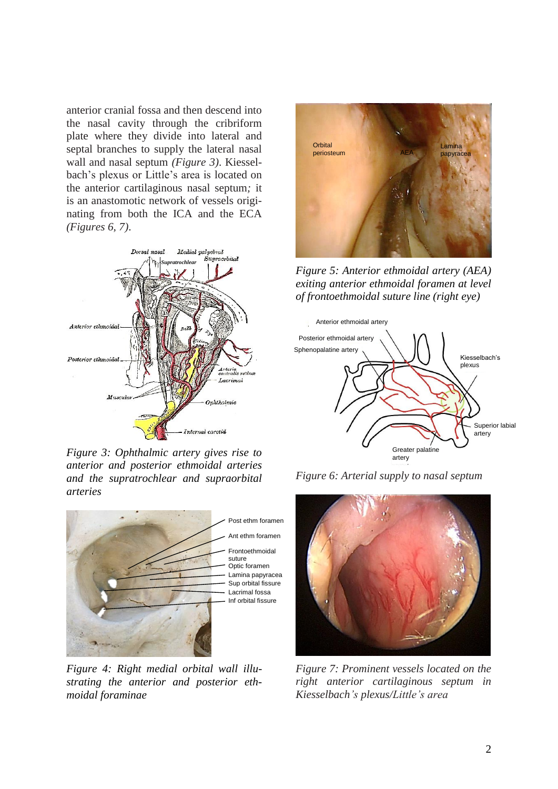anterior cranial fossa and then descend into the nasal cavity through the cribriform plate where they divide into lateral and septal branches to supply the lateral nasal wall and nasal septum *(Figure 3)*. Kiesselbach's plexus or Little's area is located on the anterior cartilaginous nasal septum*;* it is an anastomotic network of vessels originating from both the ICA and the ECA *(Figures 6, 7)*.



*Figure 3: Ophthalmic artery gives rise to anterior and posterior ethmoidal arteries and the supratrochlear and supraorbital arteries*



*Figure 4: Right medial orbital wall illustrating the anterior and posterior ethmoidal foraminae*



*Figure 5: Anterior ethmoidal artery (AEA) exiting anterior ethmoidal foramen at level of frontoethmoidal suture line (right eye)*



*Figure 6: Arterial supply to nasal septum*



*Figure 7: Prominent vessels located on the right anterior cartilaginous septum in Kiesselbach's plexus/Little's area*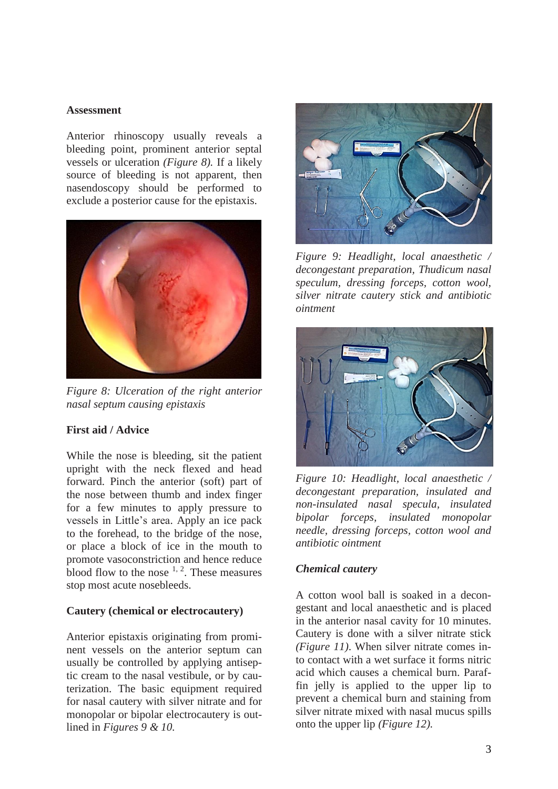#### **Assessment**

Anterior rhinoscopy usually reveals a bleeding point, prominent anterior septal vessels or ulceration *(Figure 8).* If a likely source of bleeding is not apparent, then nasendoscopy should be performed to exclude a posterior cause for the epistaxis.



*Figure 8: Ulceration of the right anterior nasal septum causing epistaxis*

## **First aid / Advice**

While the nose is bleeding, sit the patient upright with the neck flexed and head forward. Pinch the anterior (soft) part of the nose between thumb and index finger for a few minutes to apply pressure to vessels in Little's area. Apply an ice pack to the forehead, to the bridge of the nose, or place a block of ice in the mouth to promote vasoconstriction and hence reduce blood flow to the nose  $1, 2$ . These measures stop most acute nosebleeds.

#### **Cautery (chemical or electrocautery)**

Anterior epistaxis originating from prominent vessels on the anterior septum can usually be controlled by applying antiseptic cream to the nasal vestibule, or by cauterization. The basic equipment required for nasal cautery with silver nitrate and for monopolar or bipolar electrocautery is outlined in *Figures 9 & 10.*



*Figure 9: Headlight, local anaesthetic / decongestant preparation, Thudicum nasal speculum, dressing forceps, cotton wool, silver nitrate cautery stick and antibiotic ointment*



*Figure 10: Headlight, local anaesthetic / decongestant preparation, insulated and non-insulated nasal specula, insulated bipolar forceps, insulated monopolar needle, dressing forceps, cotton wool and antibiotic ointment*

## *Chemical cautery*

A cotton wool ball is soaked in a decongestant and local anaesthetic and is placed in the anterior nasal cavity for 10 minutes. Cautery is done with a silver nitrate stick *(Figure 11)*. When silver nitrate comes into contact with a wet surface it forms nitric acid which causes a chemical burn. Paraffin jelly is applied to the upper lip to prevent a chemical burn and staining from silver nitrate mixed with nasal mucus spills onto the upper lip *(Figure 12).*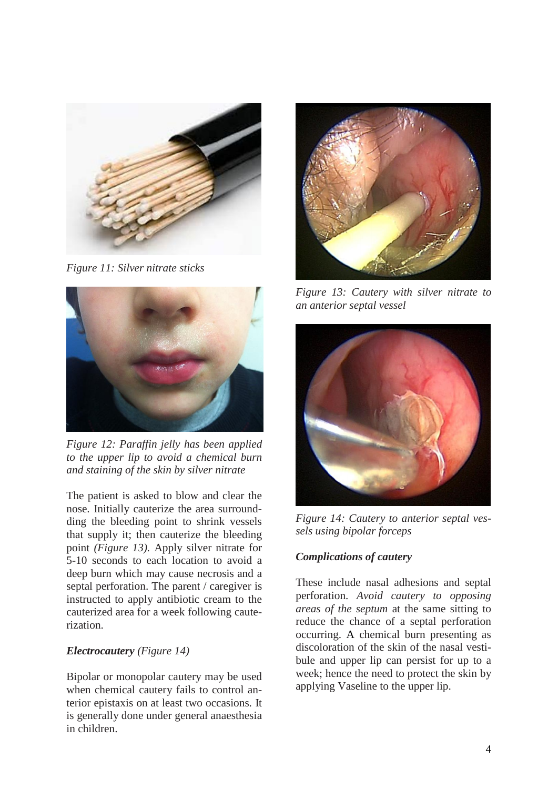

*Figure 11: Silver nitrate sticks*



*Figure 12: Paraffin jelly has been applied to the upper lip to avoid a chemical burn and staining of the skin by silver nitrate*

The patient is asked to blow and clear the nose. Initially cauterize the area surroundding the bleeding point to shrink vessels that supply it; then cauterize the bleeding point *(Figure 13).* Apply silver nitrate for 5-10 seconds to each location to avoid a deep burn which may cause necrosis and a septal perforation. The parent / caregiver is instructed to apply antibiotic cream to the cauterized area for a week following cauterization.

## *Electrocautery (Figure 14)*

Bipolar or monopolar cautery may be used when chemical cautery fails to control anterior epistaxis on at least two occasions*.* It is generally done under general anaesthesia in children.



*Figure 13: Cautery with silver nitrate to an anterior septal vessel*



*Figure 14: Cautery to anterior septal vessels using bipolar forceps*

# *Complications of cautery*

These include nasal adhesions and septal perforation. *Avoid cautery to opposing areas of the septum* at the same sitting to reduce the chance of a septal perforation occurring. A chemical burn presenting as discoloration of the skin of the nasal vestibule and upper lip can persist for up to a week; hence the need to protect the skin by applying Vaseline to the upper lip.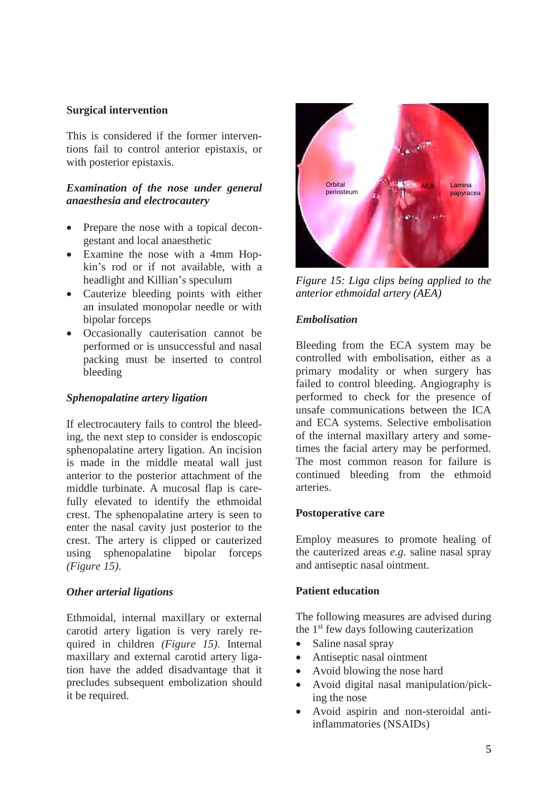## **Surgical intervention**

This is considered if the former interventions fail to control anterior epistaxis, or with posterior epistaxis.

#### *Examination of the nose under general anaesthesia and electrocautery*

- Prepare the nose with a topical decongestant and local anaesthetic
- Examine the nose with a 4mm Hopkin's rod or if not available, with a headlight and Killian's speculum
- Cauterize bleeding points with either an insulated monopolar needle or with bipolar forceps
- Occasionally cauterisation cannot be performed or is unsuccessful and nasal packing must be inserted to control bleeding

#### *Sphenopalatine artery ligation*

If electrocautery fails to control the bleeding, the next step to consider is endoscopic sphenopalatine artery ligation. An incision is made in the middle meatal wall just anterior to the posterior attachment of the middle turbinate. A mucosal flap is carefully elevated to identify the ethmoidal crest. The sphenopalatine artery is seen to enter the nasal cavity just posterior to the crest. The artery is clipped or cauterized using sphenopalatine bipolar forceps *(Figure 15)*.

## *Other arterial ligations*

Ethmoidal, internal maxillary or external carotid artery ligation is very rarely required in children *(Figure 15)*. Internal maxillary and external carotid artery ligation have the added disadvantage that it precludes subsequent embolization should it be required.



*Figure 15: Liga clips being applied to the anterior ethmoidal artery (AEA)*

## *Embolisation*

Bleeding from the ECA system may be controlled with embolisation, either as a primary modality or when surgery has failed to control bleeding. Angiography is performed to check for the presence of unsafe communications between the ICA and ECA systems. Selective embolisation of the internal maxillary artery and sometimes the facial artery may be performed. The most common reason for failure is continued bleeding from the ethmoid arteries.

#### **Postoperative care**

Employ measures to promote healing of the cauterized areas *e.g.* saline nasal spray and antiseptic nasal ointment.

#### **Patient education**

The following measures are advised during the 1<sup>st</sup> few days following cauterization

- Saline nasal spray
- Antiseptic nasal ointment
- Avoid blowing the nose hard
- Avoid digital nasal manipulation/picking the nose
- Avoid aspirin and non-steroidal antiinflammatories (NSAIDs)